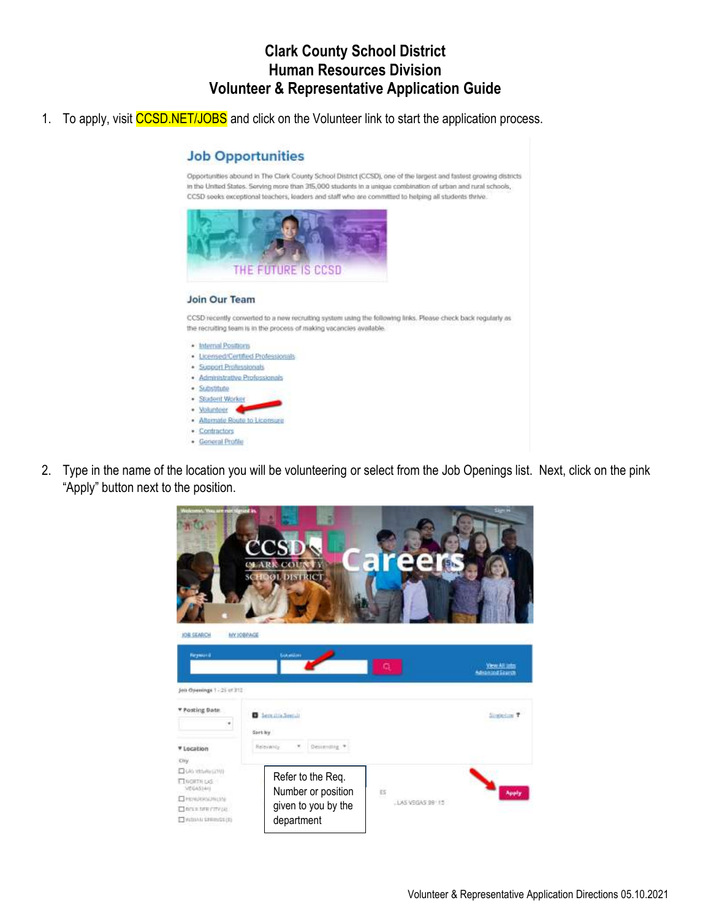## **Clark County School District Human Resources Division Volunteer & Representative Application Guide**

1. To apply, visit CCSD.NET/JOBS and click on the Volunteer link to start the application process.

#### **Job Opportunities**

Opportunities abound in The Clark County School District (CCSD), one of the largest and fastest growing districts in the United States. Serving more than 315,000 students in a unique combination of urban and rural schools, CCSD seeks exceptional teachers, leaders and staff who are committed to helping all students thrive.



#### Join Our Team

CCSD recently converted to a new recruiting system using the following links. Please check back regularly as the recruiting team is in the process of making vacancies available.

- · Internal Positions · Licensed/Certified Professionals
- · Support Professionals
- · Administrative Professionals
- · Substitute
- · Student Worker
- · Volunteer · Alternate Route to Licensure
- · Contractors
- · General Profile
- 2. Type in the name of the location you will be volunteering or select from the Job Openings list. Next, click on the pink "Apply" button next to the position.

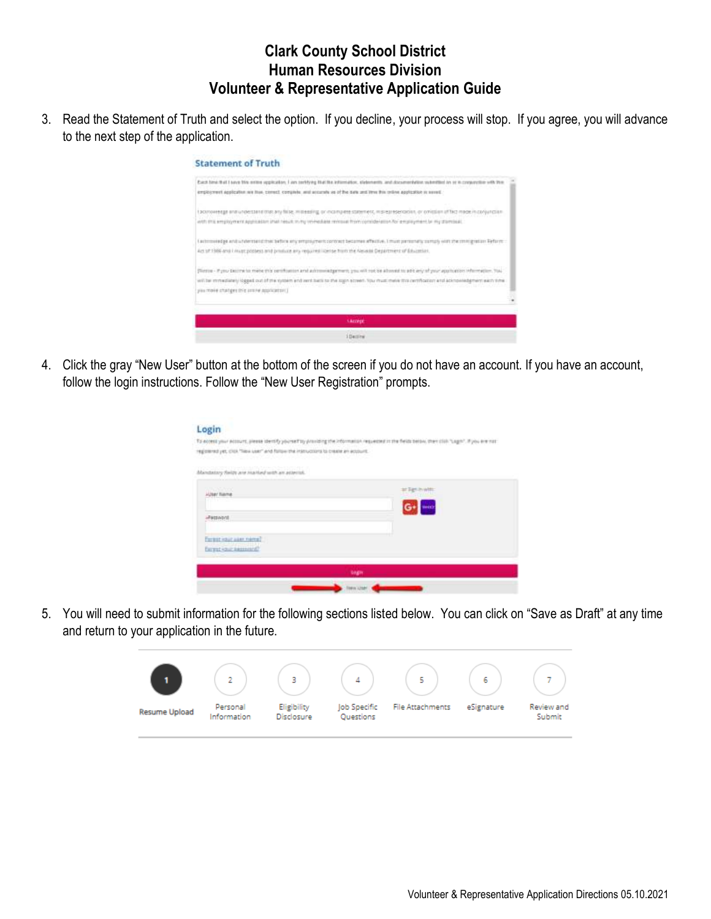## **Clark County School District Human Resources Division Volunteer & Representative Application Guide**

3. Read the Statement of Truth and select the option. If you decline, your process will stop. If you agree, you will advance to the next step of the application.

#### **Statement of Truth**



4. Click the gray "New User" button at the bottom of the screen if you do not have an account. If you have an account, follow the login instructions. Follow the "New User Registration" prompts.

| registered yet, click "New year" and follow the intervations to create an account.<br>2 Martin William School And William School And William School And William School | To econo your ecourt, please dentity yoursetty yoursing the information requested to the fields below, then click "Lagon". If you are not |
|------------------------------------------------------------------------------------------------------------------------------------------------------------------------|-------------------------------------------------------------------------------------------------------------------------------------------|
| Mendatory fields and marked with an asterial.                                                                                                                          |                                                                                                                                           |
| <b>Jap/ SLkma</b>                                                                                                                                                      |                                                                                                                                           |
|                                                                                                                                                                        | woo                                                                                                                                       |
| <b>Pattaont</b>                                                                                                                                                        |                                                                                                                                           |
| Tordat vaur aam neme?                                                                                                                                                  |                                                                                                                                           |
| former cour assuming?                                                                                                                                                  |                                                                                                                                           |

5. You will need to submit information for the following sections listed below. You can click on "Save as Draft" at any time and return to your application in the future.